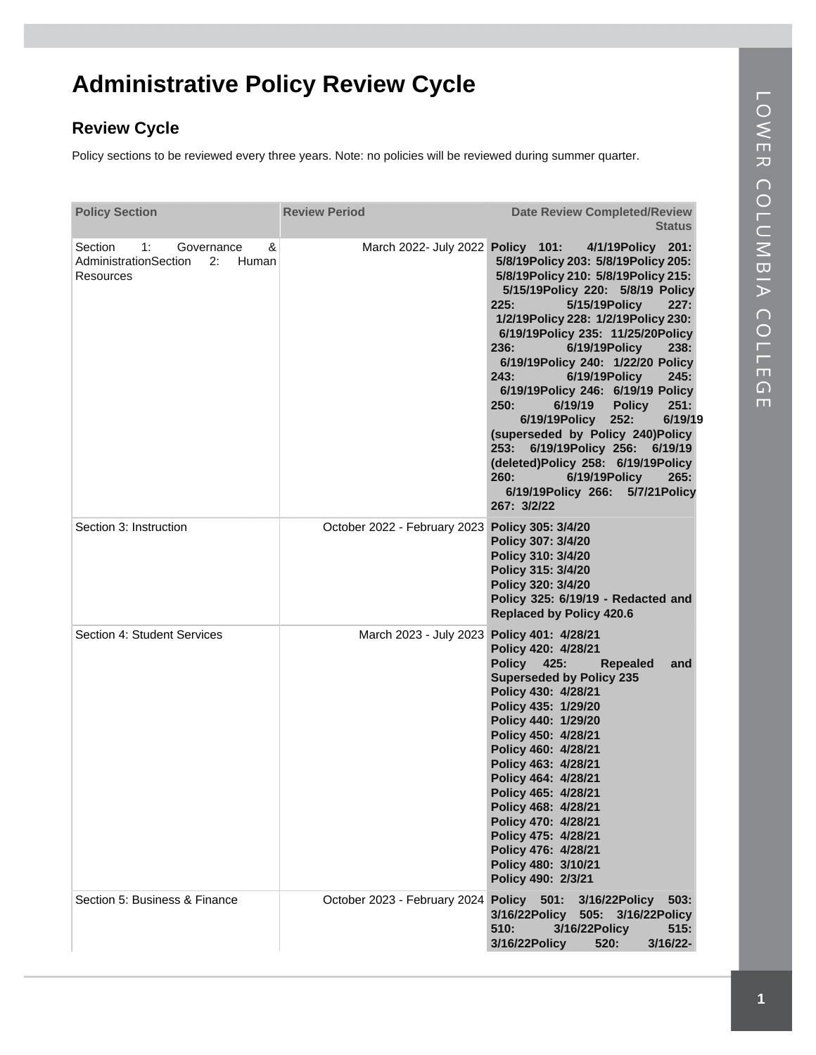## **Administrative Policy Review Cycle**

## **Review Cycle**

Policy sections to be reviewed every three years. Note: no policies will be reviewed during summer quarter.

| <b>Policy Section</b>                                                                 | <b>Review Period</b>              | <b>Date Review Completed/Review</b><br><b>Status</b>                                                                                                                                                                                                                                                                                                                                                                                                                                                                                                                                                                                                                                  |
|---------------------------------------------------------------------------------------|-----------------------------------|---------------------------------------------------------------------------------------------------------------------------------------------------------------------------------------------------------------------------------------------------------------------------------------------------------------------------------------------------------------------------------------------------------------------------------------------------------------------------------------------------------------------------------------------------------------------------------------------------------------------------------------------------------------------------------------|
| &<br>1:<br>Section<br>Governance<br>AdministrationSection<br>2:<br>Human<br>Resources | March 2022- July 2022 Policy 101: | 4/1/19Policy 201:<br>5/8/19Policy 203: 5/8/19Policy 205:<br>5/8/19Policy 210: 5/8/19Policy 215:<br>5/15/19Policy 220: 5/8/19 Policy<br>225:<br>5/15/19 Policy<br>227:<br>1/2/19Policy 228: 1/2/19Policy 230:<br>6/19/19Policy 235: 11/25/20Policy<br>6/19/19 Policy<br>236:<br>238:<br>6/19/19Policy 240: 1/22/20 Policy<br>243:<br>6/19/19 Policy<br>245:<br>6/19/19Policy 246: 6/19/19 Policy<br>6/19/19<br><b>Policy</b><br>251:<br>250:<br>6/19/19<br>6/19/19 Policy<br>252:<br>(superseded by Policy 240) Policy<br>253: 6/19/19Policy 256: 6/19/19<br>(deleted)Policy 258: 6/19/19Policy<br>260:<br>6/19/19Policy<br>265:<br>6/19/19Policy 266:<br>5/7/21 Policy<br>267: 3/2/22 |
| Section 3: Instruction                                                                | October 2022 - February 2023      | Policy 305: 3/4/20<br>Policy 307: 3/4/20<br>Policy 310: 3/4/20<br>Policy 315: 3/4/20<br>Policy 320: 3/4/20<br>Policy 325: 6/19/19 - Redacted and<br><b>Replaced by Policy 420.6</b>                                                                                                                                                                                                                                                                                                                                                                                                                                                                                                   |
| Section 4: Student Services                                                           | March 2023 - July 2023            | Policy 401: 4/28/21<br>Policy 420: 4/28/21<br>Policy 425:<br><b>Repealed</b><br>and<br><b>Superseded by Policy 235</b><br>Policy 430: 4/28/21<br>Policy 435: 1/29/20<br>Policy 440: 1/29/20<br>Policy 450: 4/28/21<br>Policy 460: 4/28/21<br>Policy 463: 4/28/21<br>Policy 464: 4/28/21<br>Policy 465: 4/28/21<br>Policy 468: 4/28/21<br>Policy 470: 4/28/21<br>Policy 475: 4/28/21<br>Policy 476: 4/28/21<br>Policy 480: 3/10/21<br>Policy 490: 2/3/21                                                                                                                                                                                                                               |
| Section 5: Business & Finance                                                         | October 2023 - February 2024      | Policy 501: 3/16/22 Policy<br>- 503:<br>3/16/22Policy 505: 3/16/22Policy<br>510:<br>3/16/22Policy<br>515:<br><b>3/16/22Policy</b><br>520:<br>$3/16/22$ -                                                                                                                                                                                                                                                                                                                                                                                                                                                                                                                              |